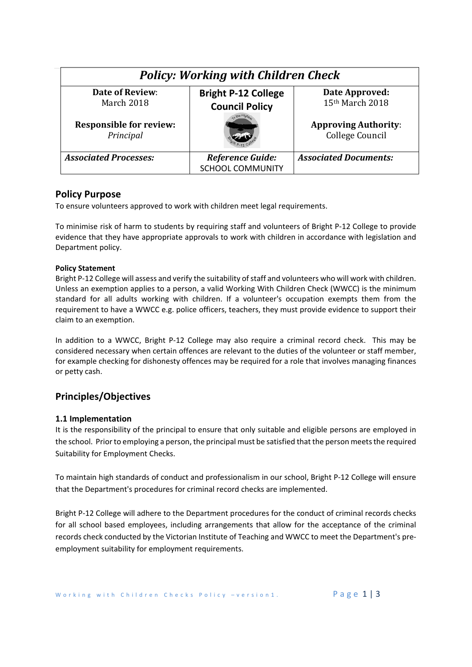| <b>Policy: Working with Children Check</b>  |                                                     |                                                |
|---------------------------------------------|-----------------------------------------------------|------------------------------------------------|
| <b>Date of Review:</b><br>March 2018        | <b>Bright P-12 College</b><br><b>Council Policy</b> | Date Approved:<br>15th March 2018              |
| <b>Responsible for review:</b><br>Principal |                                                     | <b>Approving Authority:</b><br>College Council |
| <b>Associated Processes:</b>                | Reference Guide:<br><b>SCHOOL COMMUNITY</b>         | <b>Associated Documents:</b>                   |

# **Policy Purpose**

To ensure volunteers approved to work with children meet legal requirements.

To minimise risk of harm to students by requiring staff and volunteers of Bright P‐12 College to provide evidence that they have appropriate approvals to work with children in accordance with legislation and Department policy.

### **Policy Statement**

Bright P‐12 College will assess and verify the suitability of staff and volunteers who will work with children. Unless an exemption applies to a person, a valid Working With Children Check (WWCC) is the minimum standard for all adults working with children. If a volunteer's occupation exempts them from the requirement to have a WWCC e.g. police officers, teachers, they must provide evidence to support their claim to an exemption.

In addition to a WWCC, Bright P-12 College may also require a criminal record check. This may be considered necessary when certain offences are relevant to the duties of the volunteer or staff member, for example checking for dishonesty offences may be required for a role that involves managing finances or petty cash.

# **Principles/Objectives**

## **1.1 Implementation**

It is the responsibility of the principal to ensure that only suitable and eligible persons are employed in the school. Prior to employing a person, the principal must be satisfied that the person meets the required Suitability for Employment Checks.

To maintain high standards of conduct and professionalism in our school, Bright P‐12 College will ensure that the Department's procedures for criminal record checks are implemented.

Bright P‐12 College will adhere to the Department procedures for the conduct of criminal records checks for all school based employees, including arrangements that allow for the acceptance of the criminal records check conducted by the Victorian Institute of Teaching and WWCC to meet the Department's pre‐ employment suitability for employment requirements.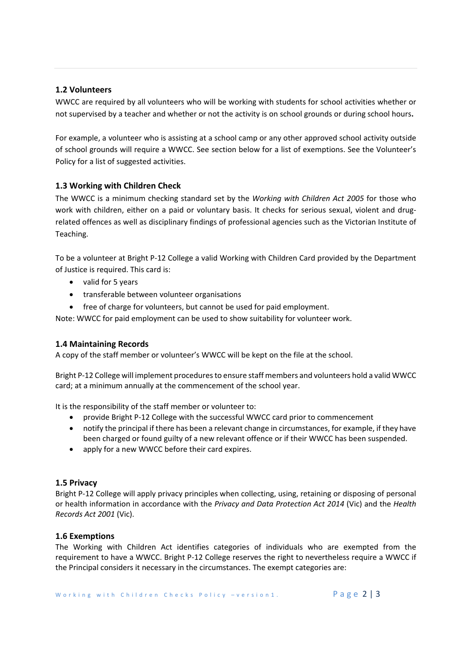# **1.2 Volunteers**

WWCC are required by all volunteers who will be working with students for school activities whether or not supervised by a teacher and whether or not the activity is on school grounds or during school hours**.** 

For example, a volunteer who is assisting at a school camp or any other approved school activity outside of school grounds will require a WWCC. See section below for a list of exemptions. See the Volunteer's Policy for a list of suggested activities.

# **1.3 Working with Children Check**

The WWCC is a minimum checking standard set by the *Working with Children Act 2005* for those who work with children, either on a paid or voluntary basis. It checks for serious sexual, violent and drugrelated offences as well as disciplinary findings of professional agencies such as the Victorian Institute of Teaching.

To be a volunteer at Bright P‐12 College a valid Working with Children Card provided by the Department of Justice is required. This card is:

- valid for 5 years
- transferable between volunteer organisations
- free of charge for volunteers, but cannot be used for paid employment.

Note: WWCC for paid employment can be used to show suitability for volunteer work.

## **1.4 Maintaining Records**

A copy of the staff member or volunteer's WWCC will be kept on the file at the school.

Bright P‐12 College will implement procedures to ensure staff members and volunteers hold a valid WWCC card; at a minimum annually at the commencement of the school year.

It is the responsibility of the staff member or volunteer to:

- provide Bright P-12 College with the successful WWCC card prior to commencement
- notify the principal if there has been a relevant change in circumstances, for example, if they have been charged or found guilty of a new relevant offence or if their WWCC has been suspended.
- apply for a new WWCC before their card expires.

## **1.5 Privacy**

Bright P‐12 College will apply privacy principles when collecting, using, retaining or disposing of personal or health information in accordance with the *Privacy and Data Protection Act 2014* (Vic) and the *Health Records Act 2001* (Vic).

## **1.6 Exemptions**

The Working with Children Act identifies categories of individuals who are exempted from the requirement to have a WWCC. Bright P‐12 College reserves the right to nevertheless require a WWCC if the Principal considers it necessary in the circumstances. The exempt categories are: